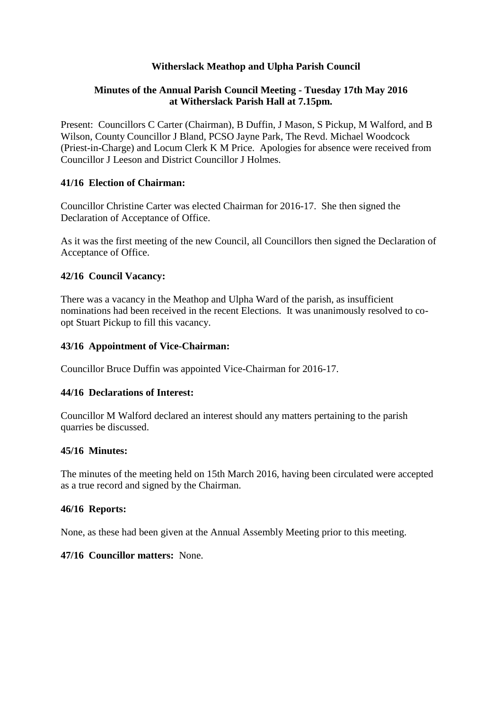## **Witherslack Meathop and Ulpha Parish Council**

### **Minutes of the Annual Parish Council Meeting - Tuesday 17th May 2016 at Witherslack Parish Hall at 7.15pm.**

Present: Councillors C Carter (Chairman), B Duffin, J Mason, S Pickup, M Walford, and B Wilson, County Councillor J Bland, PCSO Jayne Park, The Revd. Michael Woodcock (Priest-in-Charge) and Locum Clerk K M Price. Apologies for absence were received from Councillor J Leeson and District Councillor J Holmes.

#### **41/16 Election of Chairman:**

Councillor Christine Carter was elected Chairman for 2016-17. She then signed the Declaration of Acceptance of Office.

As it was the first meeting of the new Council, all Councillors then signed the Declaration of Acceptance of Office.

### **42/16 Council Vacancy:**

There was a vacancy in the Meathop and Ulpha Ward of the parish, as insufficient nominations had been received in the recent Elections. It was unanimously resolved to coopt Stuart Pickup to fill this vacancy.

#### **43/16 Appointment of Vice-Chairman:**

Councillor Bruce Duffin was appointed Vice-Chairman for 2016-17.

#### **44/16 Declarations of Interest:**

Councillor M Walford declared an interest should any matters pertaining to the parish quarries be discussed.

### **45/16 Minutes:**

The minutes of the meeting held on 15th March 2016, having been circulated were accepted as a true record and signed by the Chairman.

#### **46/16 Reports:**

None, as these had been given at the Annual Assembly Meeting prior to this meeting.

### **47/16 Councillor matters:** None.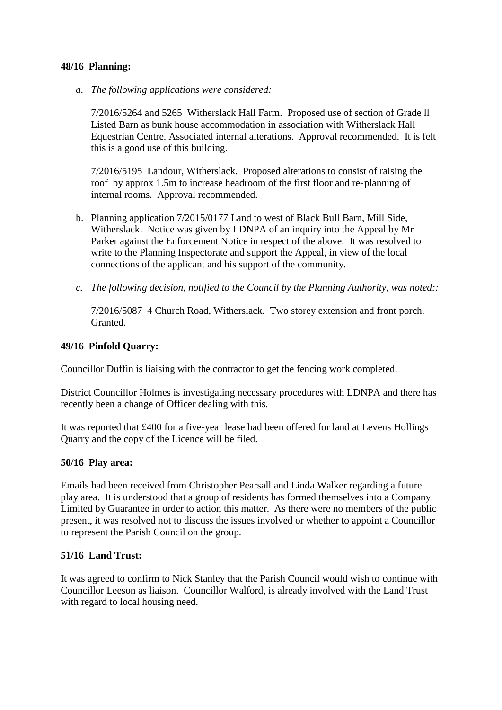### **48/16 Planning:**

*a. The following applications were considered:*

7/2016/5264 and 5265 Witherslack Hall Farm. Proposed use of section of Grade ll Listed Barn as bunk house accommodation in association with Witherslack Hall Equestrian Centre. Associated internal alterations. Approval recommended. It is felt this is a good use of this building.

7/2016/5195 Landour, Witherslack. Proposed alterations to consist of raising the roof by approx 1.5m to increase headroom of the first floor and re-planning of internal rooms. Approval recommended.

- b. Planning application 7/2015/0177 Land to west of Black Bull Barn, Mill Side, Witherslack. Notice was given by LDNPA of an inquiry into the Appeal by Mr Parker against the Enforcement Notice in respect of the above. It was resolved to write to the Planning Inspectorate and support the Appeal, in view of the local connections of the applicant and his support of the community.
- *c. The following decision, notified to the Council by the Planning Authority, was noted::*

7/2016/5087 4 Church Road, Witherslack. Two storey extension and front porch. **Granted** 

#### **49/16 Pinfold Quarry:**

Councillor Duffin is liaising with the contractor to get the fencing work completed.

District Councillor Holmes is investigating necessary procedures with LDNPA and there has recently been a change of Officer dealing with this.

It was reported that £400 for a five-year lease had been offered for land at Levens Hollings Quarry and the copy of the Licence will be filed.

#### **50/16 Play area:**

Emails had been received from Christopher Pearsall and Linda Walker regarding a future play area. It is understood that a group of residents has formed themselves into a Company Limited by Guarantee in order to action this matter. As there were no members of the public present, it was resolved not to discuss the issues involved or whether to appoint a Councillor to represent the Parish Council on the group.

# **51/16 Land Trust:**

It was agreed to confirm to Nick Stanley that the Parish Council would wish to continue with Councillor Leeson as liaison. Councillor Walford, is already involved with the Land Trust with regard to local housing need.